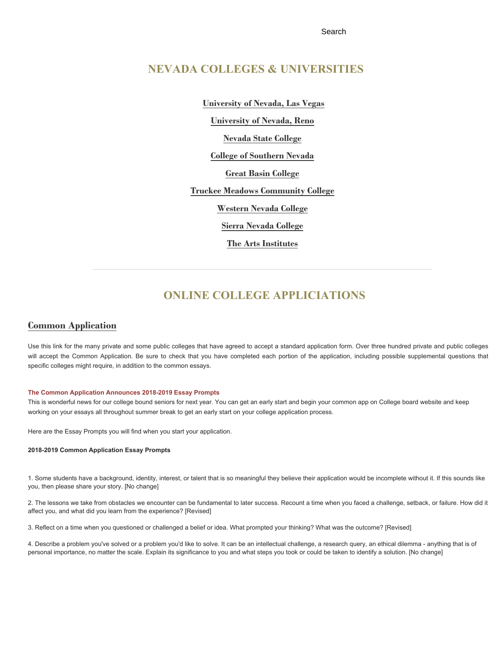Search

## **[NEVADA COLLEGES & UNIVERSITIES](javascript:;)**

**[University of Nevada, Las Vegas](http://www.unlv.edu/) [University of Nevada, Reno](http://www.unr.edu/) [Nevada State College](http://www.nsc.nevada.edu/) [College of Southern Nevada](http://www.csn.edu/) [Great Basin College](http://www.gbcnv.edu/) [Truckee Meadows Community College](http://www.tmcc.edu/) [Western Nevada College](http://www.wnc.edu/) [Sierra Nevada College](http://www.sierranevada.edu/) [The Arts Institutes](https://www.artinstitutes.edu/las-vegas)**

# **ONLINE COLLEGE APPLICIATIONS**

### **[Common Application](https://www.commonapp.org/)**

Use this link for the many private and some public colleges that have agreed to accept a standard application form. Over three hundred private and public colleges will accept the Common Application. Be sure to check that you have completed each portion of the application, including possible supplemental questions that specific colleges might require, in addition to the common essays.

#### **The Common Application Announces 2018-2019 Essay Prompts**

This is wonderful news for our college bound seniors for next year. You can get an early start and begin your common app on College board website and keep working on your essays all throughout summer break to get an early start on your college application process.

Here are the Essay Prompts you will find when you start your application.

#### **2018-2019 Common Application Essay Prompts**

1. Some students have a background, identity, interest, or talent that is so meaningful they believe their application would be incomplete without it. If this sounds like you, then please share your story. [No change]

2. The lessons we take from obstacles we encounter can be fundamental to later success. Recount a time when you faced a challenge, setback, or failure. How did it affect you, and what did you learn from the experience? [Revised]

3. Reflect on a time when you questioned or challenged a belief or idea. What prompted your thinking? What was the outcome? [Revised]

4. Describe a problem you've solved or a problem you'd like to solve. It can be an intellectual challenge, a research query, an ethical dilemma - anything that is of personal importance, no matter the scale. Explain its significance to you and what steps you took or could be taken to identify a solution. [No change]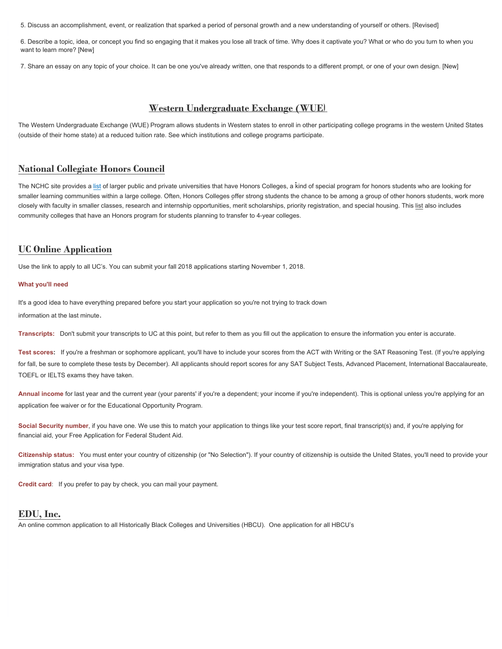5. Discuss an accomplishment, event, or realization that sparked a period of personal growth and a new understanding of yourself or others. [Revised]

6. Describe a topic, idea, or concept you find so engaging that it makes you lose all track of time. Why does it captivate you? What or who do you turn to when you want to learn more? [New]

7. Share an essay on any topic of your choice. It can be one you've already written, one that responds to a different prompt, or one of your own design. [New]

## **[Western Undergraduate Exchange \(WUE](http://wiche.edu/wue)**[\)](http://wiche.edu/wue)

The Western Undergraduate Exchange (WUE) Program allows students in Western states to enroll in other participating college programs in the western United States (outside of their home state) at a reduced tuition rate. See which institutions and college programs participate.

## **National Collegiate Honors Council**

The NCHC site provides a list of larger public and private universities that have Honors Colleges, a kind of special program for honors students who are looking for smaller learning communities within a large college. Often, Honors Colleges offer strong students the chance to be among a group of other honors students, work more closely with faculty in smaller classes, research and internship opportunities, merit scholarships, priority registration, and special housing. This list also includes community colleges that have an Honors program for students planning to transfer to 4-year colleges.

## **UC Online Application**

Use the link to apply to all UC's. You can submit your fall 2018 applications starting November 1, 2018.

#### What you'll need

It's a good idea to have everything prepared before you start your application so you're not trying to track down information at the last minute.

Transcripts: Don't submit your transcripts to UC at this point, but refer to them as you fill out the application to ensure the information you enter is accurate.

Test scores: If you're a freshman or sophomore applicant, you'll have to include your scores from the ACT with Writing or the SAT Reasoning Test. (If you're applying for fall, be sure to complete these tests by December). All applicants should report scores for any SAT Subject Tests, Advanced Placement, International Baccalaureate, TOEFL or IELTS exams they have taken.

Annual income for last year and the current year (your parents' if you're a dependent; your income if you're independent). This is optional unless you're applying for an application fee waiver or for the Educational Opportunity Program.

Social Security number, if you have one. We use this to match your application to things like your test score report, final transcript(s) and, if you're applying for financial aid, your Free Application for Federal Student Aid.

Citizenship status: You must enter your country of citizenship (or "No Selection"). If your country of citizenship is outside the United States, you'll need to provide your immigration status and your visa type.

Credit card: If you prefer to pay by check, you can mail your payment.

### EDU, Inc.

An online common application to all Historically Black Colleges and Universities (HBCU). One application for all HBCU's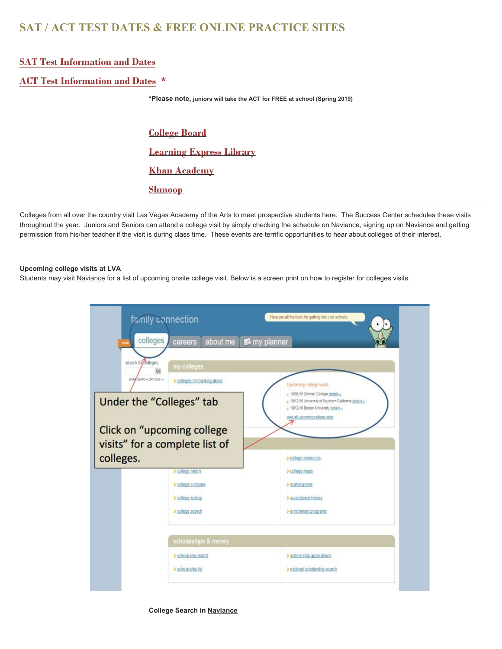# **SAT / ACT TEST DATES & FREE ONLINE PRACTICE SITES**

## **SAT Test Information and Dat[es](https://collegereadiness.collegeboard.org/sat)**

## **[ACT Test Information and Dates](http://www.act.org/content/act/en/products-and-services/the-act.html) \***

**\*Please note, juniors will take the ACT for FREE at school (Spring 2019)**

**[College Board](https://collegereadiness.collegeboard.org/sat/practice) [Learning Express Library](http://www.learningexpresshub.com/productengine/LELIndex.html#/center/college-preparation-center/home) [Khan Academy](https://www.khanacademy.org/sat) [Shmoop](http://www.shmoop.com/test-prep/)**

Colleges from all over the country visit Las Vegas Academy of the Arts to meet prospective students here. Thethroughout the year. Juniors and Seniors can attend a college visit by simply checking the schedule on Naviance, signing up on Naviance and getting permission from his/her teacher if the visit is during class time. These events are terrific opportunities to hear about colleges of their interest.

#### Upcoming college visits at LVA

Students may visit Naviance for a list of upcoming onsite college visit. Below is a screen print on how to register for colleges visits.